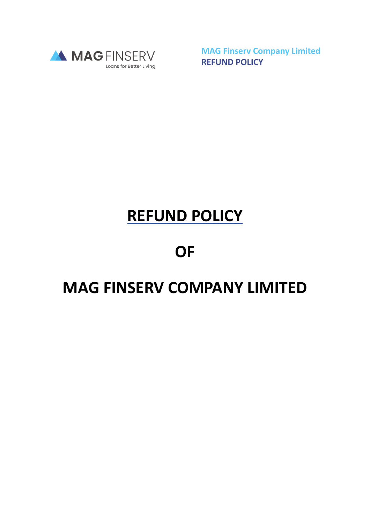

**MAG Finserv Company Limited REFUND POLICY**

## **REFUND POLICY**

## **OF**

## **MAG FINSERV COMPANY LIMITED**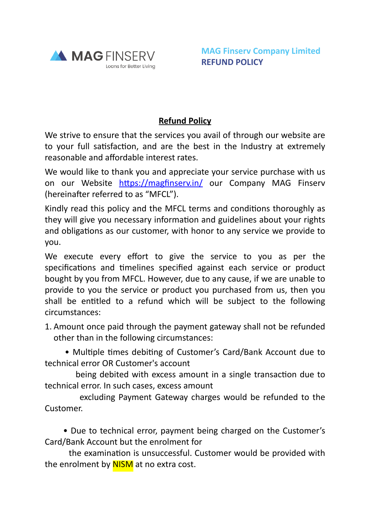

## **Refund Policy**

We strive to ensure that the services you avail of through our website are to your full satisfaction, and are the best in the Industry at extremely reasonable and affordable interest rates.

We would like to thank you and appreciate your service purchase with us on our Website <https://magfinserv.in/> our Company MAG Finserv (hereinafter referred to as "MFCL").

Kindly read this policy and the MFCL terms and conditions thoroughly as they will give you necessary information and guidelines about your rights and obligations as our customer, with honor to any service we provide to you.

We execute every effort to give the service to you as per the specifications and timelines specified against each service or product bought by you from MFCL. However, due to any cause, if we are unable to provide to you the service or product you purchased from us, then you shall be entitled to a refund which will be subject to the following circumstances:

1. Amount once paid through the payment gateway shall not be refunded other than in the following circumstances:

 • Multiple times debiting of Customer's Card/Bank Account due to technical error OR Customer's account

 being debited with excess amount in a single transaction due to technical error. In such cases, excess amount

 excluding Payment Gateway charges would be refunded to the Customer.

 • Due to technical error, payment being charged on the Customer's Card/Bank Account but the enrolment for

 the examination is unsuccessful. Customer would be provided with the enrolment by **NISM** at no extra cost.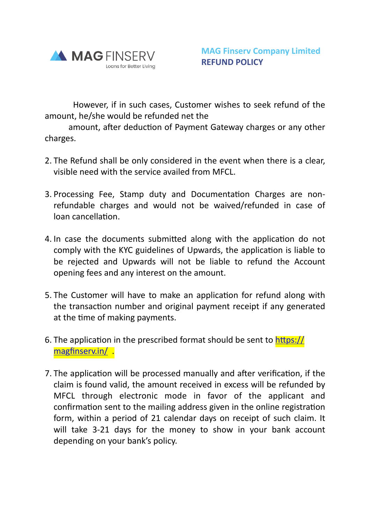

 However, if in such cases, Customer wishes to seek refund of the amount, he/she would be refunded net the

 amount, after deduction of Payment Gateway charges or any other charges.

- 2. The Refund shall be only considered in the event when there is a clear, visible need with the service availed from MFCL.
- 3. Processing Fee, Stamp duty and Documentation Charges are nonrefundable charges and would not be waived/refunded in case of loan cancellation.
- 4. In case the documents submitted along with the application do not comply with the KYC guidelines of Upwards, the application is liable to be rejected and Upwards will not be liable to refund the Account opening fees and any interest on the amount.
- 5. The Customer will have to make an application for refund along with the transaction number and original payment receipt if any generated at the time of making payments.
- 6. The application in the prescribed format should be sent to [https://](https://magfinserv.in/) [magfinserv.in/](https://magfinserv.in/) .
- 7. The application will be processed manually and after verification, if the claim is found valid, the amount received in excess will be refunded by MFCL through electronic mode in favor of the applicant and confirmation sent to the mailing address given in the online registration form, within a period of 21 calendar days on receipt of such claim. It will take 3-21 days for the money to show in your bank account depending on your bank's policy.